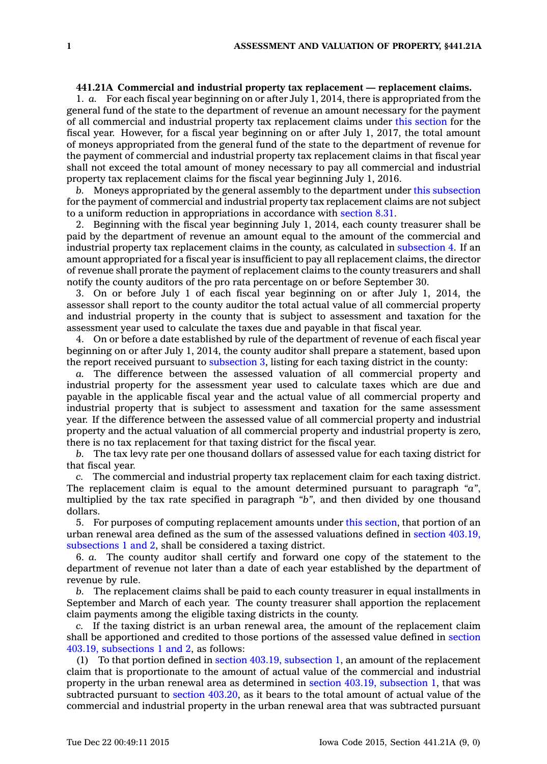## **441.21A Commercial and industrial property tax replacement — replacement claims.**

1. *a.* For each fiscal year beginning on or after July 1, 2014, there is appropriated from the general fund of the state to the department of revenue an amount necessary for the payment of all commercial and industrial property tax replacement claims under this [section](https://www.legis.iowa.gov/docs/code//441.21A.pdf) for the fiscal year. However, for <sup>a</sup> fiscal year beginning on or after July 1, 2017, the total amount of moneys appropriated from the general fund of the state to the department of revenue for the payment of commercial and industrial property tax replacement claims in that fiscal year shall not exceed the total amount of money necessary to pay all commercial and industrial property tax replacement claims for the fiscal year beginning July 1, 2016.

*b.* Moneys appropriated by the general assembly to the department under this [subsection](https://www.legis.iowa.gov/docs/code//441.21A.pdf) for the payment of commercial and industrial property tax replacement claims are not subject to <sup>a</sup> uniform reduction in appropriations in accordance with [section](https://www.legis.iowa.gov/docs/code//8.31.pdf) 8.31.

2. Beginning with the fiscal year beginning July 1, 2014, each county treasurer shall be paid by the department of revenue an amount equal to the amount of the commercial and industrial property tax replacement claims in the county, as calculated in [subsection](https://www.legis.iowa.gov/docs/code//441.21A.pdf) 4. If an amount appropriated for <sup>a</sup> fiscal year is insufficient to pay all replacement claims, the director of revenue shall prorate the payment of replacement claims to the county treasurers and shall notify the county auditors of the pro rata percentage on or before September 30.

3. On or before July 1 of each fiscal year beginning on or after July 1, 2014, the assessor shall report to the county auditor the total actual value of all commercial property and industrial property in the county that is subject to assessment and taxation for the assessment year used to calculate the taxes due and payable in that fiscal year.

4. On or before <sup>a</sup> date established by rule of the department of revenue of each fiscal year beginning on or after July 1, 2014, the county auditor shall prepare <sup>a</sup> statement, based upon the report received pursuant to [subsection](https://www.legis.iowa.gov/docs/code//441.21A.pdf) 3, listing for each taxing district in the county:

*a.* The difference between the assessed valuation of all commercial property and industrial property for the assessment year used to calculate taxes which are due and payable in the applicable fiscal year and the actual value of all commercial property and industrial property that is subject to assessment and taxation for the same assessment year. If the difference between the assessed value of all commercial property and industrial property and the actual valuation of all commercial property and industrial property is zero, there is no tax replacement for that taxing district for the fiscal year.

*b.* The tax levy rate per one thousand dollars of assessed value for each taxing district for that fiscal year.

*c.* The commercial and industrial property tax replacement claim for each taxing district. The replacement claim is equal to the amount determined pursuant to paragraph *"a"*, multiplied by the tax rate specified in paragraph *"b"*, and then divided by one thousand dollars.

5. For purposes of computing replacement amounts under this [section](https://www.legis.iowa.gov/docs/code//441.21A.pdf), that portion of an urban renewal area defined as the sum of the assessed valuations defined in section [403.19,](https://www.legis.iowa.gov/docs/code//403.19.pdf) [subsections](https://www.legis.iowa.gov/docs/code//403.19.pdf) 1 and 2, shall be considered <sup>a</sup> taxing district.

6. *a.* The county auditor shall certify and forward one copy of the statement to the department of revenue not later than <sup>a</sup> date of each year established by the department of revenue by rule.

*b.* The replacement claims shall be paid to each county treasurer in equal installments in September and March of each year. The county treasurer shall apportion the replacement claim payments among the eligible taxing districts in the county.

*c.* If the taxing district is an urban renewal area, the amount of the replacement claim shall be apportioned and credited to those portions of the assessed value defined in [section](https://www.legis.iowa.gov/docs/code//403.19.pdf) 403.19, [subsections](https://www.legis.iowa.gov/docs/code//403.19.pdf) 1 and 2, as follows:

(1) To that portion defined in section 403.19, [subsection](https://www.legis.iowa.gov/docs/code//403.19.pdf) 1, an amount of the replacement claim that is proportionate to the amount of actual value of the commercial and industrial property in the urban renewal area as determined in section 403.19, [subsection](https://www.legis.iowa.gov/docs/code//403.19.pdf) 1, that was subtracted pursuant to section [403.20](https://www.legis.iowa.gov/docs/code//403.20.pdf), as it bears to the total amount of actual value of the commercial and industrial property in the urban renewal area that was subtracted pursuant